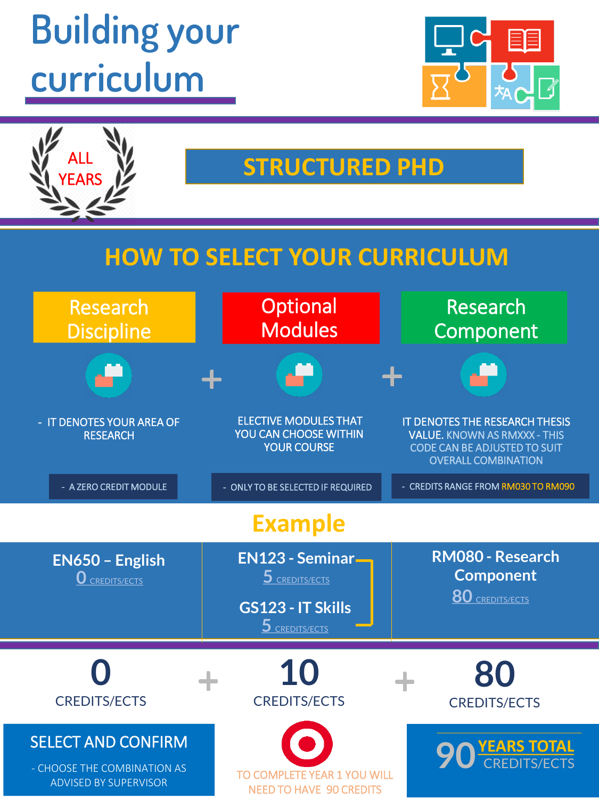# **Building your curriculum**



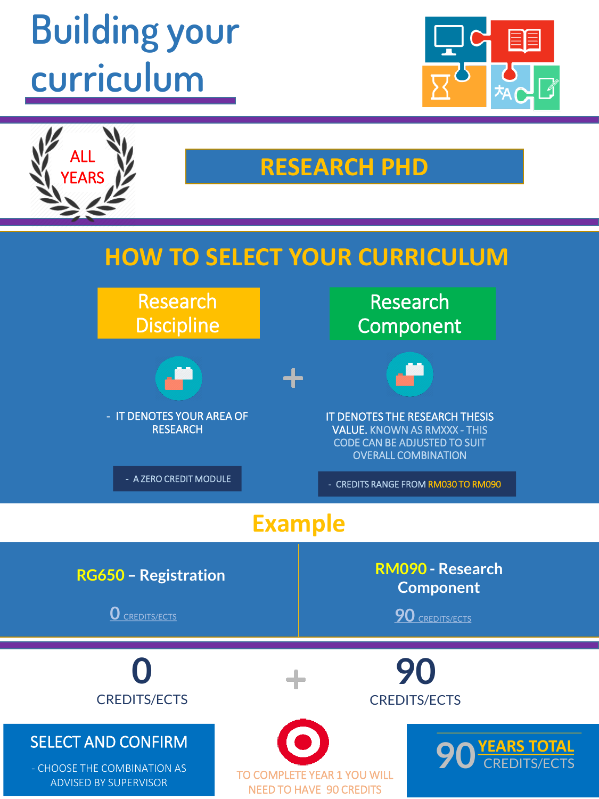# **Building your curriculum**